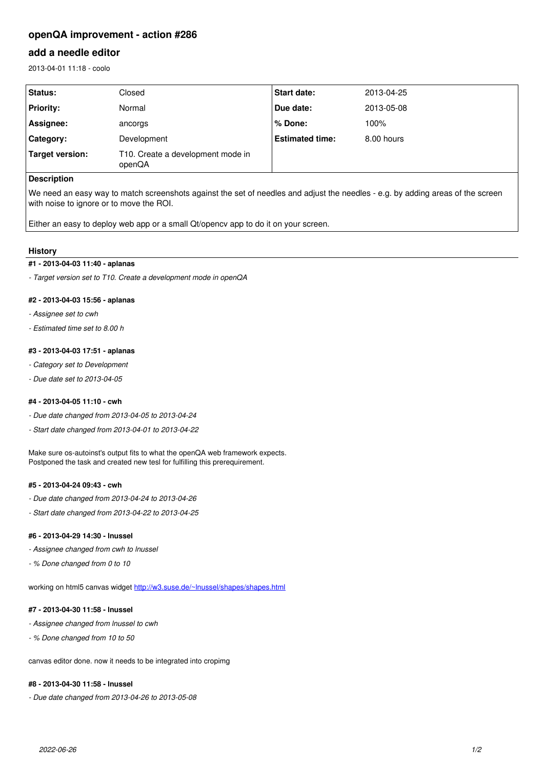# **openQA improvement - action #286**

## **add a needle editor**

2013-04-01 11:18 - coolo

| Status:          | Closed                                      | <b>Start date:</b>     | 2013-04-25 |
|------------------|---------------------------------------------|------------------------|------------|
| <b>Priority:</b> | Normal                                      | Due date:              | 2013-05-08 |
| Assignee:        | ancorgs                                     | ∣% Done:               | 100%       |
| Category:        | Development                                 | <b>Estimated time:</b> | 8.00 hours |
| Target version:  | T10. Create a development mode in<br>openQA |                        |            |
| Description      |                                             |                        |            |

We need an easy way to match screenshots against the set of needles and adjust the needles - e.g. by adding areas of the screen with noise to ignore or to move the ROI.

Either an easy to deploy web app or a small Qt/opencv app to do it on your screen.

## **History**

## **#1 - 2013-04-03 11:40 - aplanas**

*- Target version set to T10. Create a development mode in openQA*

## **#2 - 2013-04-03 15:56 - aplanas**

- *Assignee set to cwh*
- *Estimated time set to 8.00 h*

## **#3 - 2013-04-03 17:51 - aplanas**

- *Category set to Development*
- *Due date set to 2013-04-05*

## **#4 - 2013-04-05 11:10 - cwh**

- *Due date changed from 2013-04-05 to 2013-04-24*
- *Start date changed from 2013-04-01 to 2013-04-22*

Make sure os-autoinst's output fits to what the openQA web framework expects. Postponed the task and created new tesl for fulfilling this prerequirement.

## **#5 - 2013-04-24 09:43 - cwh**

- *Due date changed from 2013-04-24 to 2013-04-26*
- *Start date changed from 2013-04-22 to 2013-04-25*

## **#6 - 2013-04-29 14:30 - lnussel**

- *Assignee changed from cwh to lnussel*
- *% Done changed from 0 to 10*

working on html5 canvas widget [http://w3.suse.de/~lnussel/shapes/shapes.html](http://w3.suse.de/%7Elnussel/shapes/shapes.html)

#### **#7 - 2013-04-30 11:58 - lnussel**

- *Assignee changed from lnussel to cwh*
- *% Done changed from 10 to 50*

canvas editor done. now it needs to be integrated into cropimg

## **#8 - 2013-04-30 11:58 - lnussel**

*- Due date changed from 2013-04-26 to 2013-05-08*